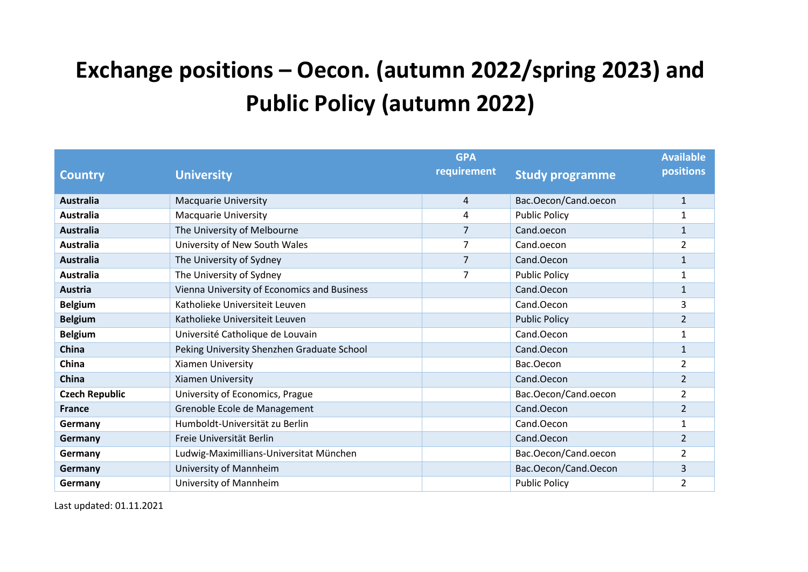## **Exchange positions – Oecon. (autumn 2022/spring 2023) and Public Policy (autumn 2022)**

|                       |                                             | <b>GPA</b>  |                        | <b>Available</b> |
|-----------------------|---------------------------------------------|-------------|------------------------|------------------|
| <b>Country</b>        | <b>University</b>                           | requirement | <b>Study programme</b> | <b>positions</b> |
|                       |                                             |             |                        |                  |
| Australia             | <b>Macquarie University</b>                 | 4           | Bac.Oecon/Cand.oecon   | $\mathbf{1}$     |
| Australia             | <b>Macquarie University</b>                 | 4           | <b>Public Policy</b>   | 1                |
| <b>Australia</b>      | The University of Melbourne                 | 7           | Cand.oecon             | 1                |
| Australia             | University of New South Wales               | 7           | Cand.oecon             | $\overline{2}$   |
| <b>Australia</b>      | The University of Sydney                    | 7           | Cand.Oecon             | $\mathbf 1$      |
| <b>Australia</b>      | The University of Sydney                    | 7           | <b>Public Policy</b>   | 1                |
| <b>Austria</b>        | Vienna University of Economics and Business |             | Cand.Oecon             | $\mathbf{1}$     |
| <b>Belgium</b>        | Katholieke Universiteit Leuven              |             | Cand.Oecon             | 3                |
| <b>Belgium</b>        | Katholieke Universiteit Leuven              |             | <b>Public Policy</b>   | $\overline{2}$   |
| <b>Belgium</b>        | Université Catholique de Louvain            |             | Cand.Oecon             | 1                |
| China                 | Peking University Shenzhen Graduate School  |             | Cand.Oecon             | $\mathbf{1}$     |
| China                 | Xiamen University                           |             | Bac.Oecon              | 2                |
| <b>China</b>          | Xiamen University                           |             | Cand.Oecon             | $\overline{2}$   |
| <b>Czech Republic</b> | University of Economics, Prague             |             | Bac.Oecon/Cand.oecon   | $\overline{2}$   |
| <b>France</b>         | Grenoble Ecole de Management                |             | Cand.Oecon             | $\overline{2}$   |
| Germany               | Humboldt-Universität zu Berlin              |             | Cand.Oecon             | $\mathbf{1}$     |
| Germany               | Freie Universität Berlin                    |             | Cand.Oecon             | $\overline{2}$   |
| Germany               | Ludwig-Maximillians-Universitat München     |             | Bac.Oecon/Cand.oecon   | $\overline{2}$   |
| Germany               | University of Mannheim                      |             | Bac.Oecon/Cand.Oecon   | 3                |
| Germany               | University of Mannheim                      |             | <b>Public Policy</b>   | 2                |

Last updated: 01.11.2021